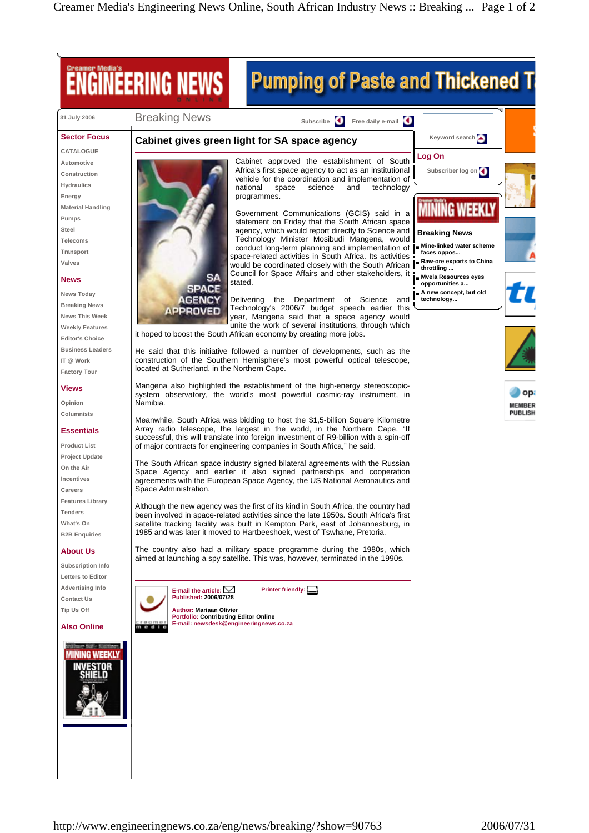